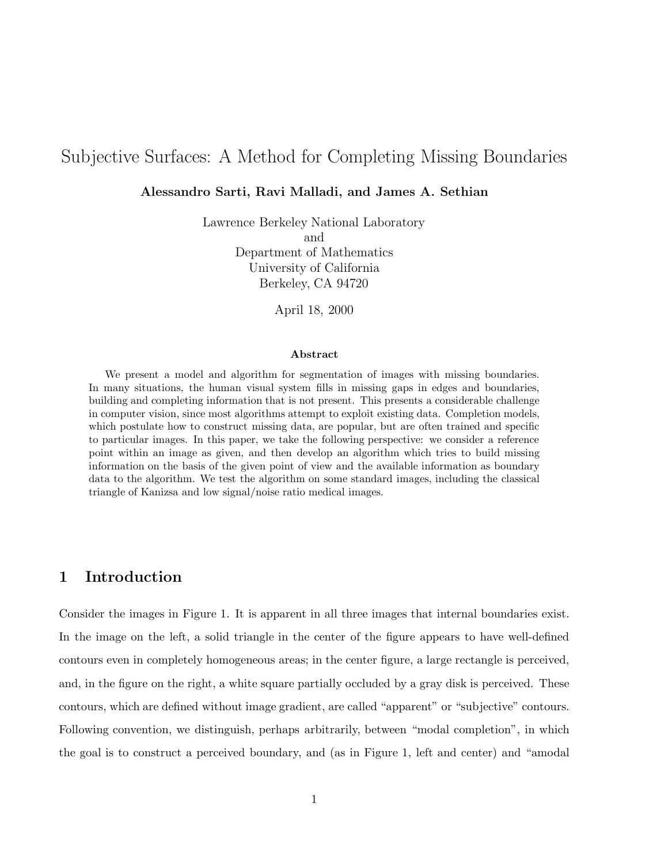# Subjective Surfaces: A Method for Completing Missing Boundaries

#### Alessandro Sarti, Ravi Malladi, and James A. Sethian

Lawrence Berkeley National Laboratory and Department of Mathematics University of California Berkeley, CA 94720

April 18, 2000

#### Abstract

We present a model and algorithm for segmentation of images with missing boundaries. In many situations, the human visual system fills in missing gaps in edges and boundaries, building and completing information that is not present. This presents a considerable challenge in computer vision, since most algorithms attempt to exploit existing data. Completion models, which postulate how to construct missing data, are popular, but are often trained and specific to particular images. In this paper, we take the following perspective: we consider a reference point within an image as given, and then develop an algorithm which tries to build missing information on the basis of the given point of view and the available information as boundary data to the algorithm. We test the algorithm on some standard images, including the classical triangle of Kanizsa and low signal/noise ratio medical images.

## 1 Introduction

Consider the images in Figure 1. It is apparent in all three images that internal boundaries exist. In the image on the left, a solid triangle in the center of the figure appears to have well-defined contours even in completely homogeneous areas; in the center figure, a large rectangle is perceived, and, in the figure on the right, a white square partially occluded by a gray disk is perceived. These contours, which are defined without image gradient, are called "apparent" or "subjective" contours. Following convention, we distinguish, perhaps arbitrarily, between "modal completion", in which the goal is to construct a perceived boundary, and (as in Figure 1, left and center) and "amodal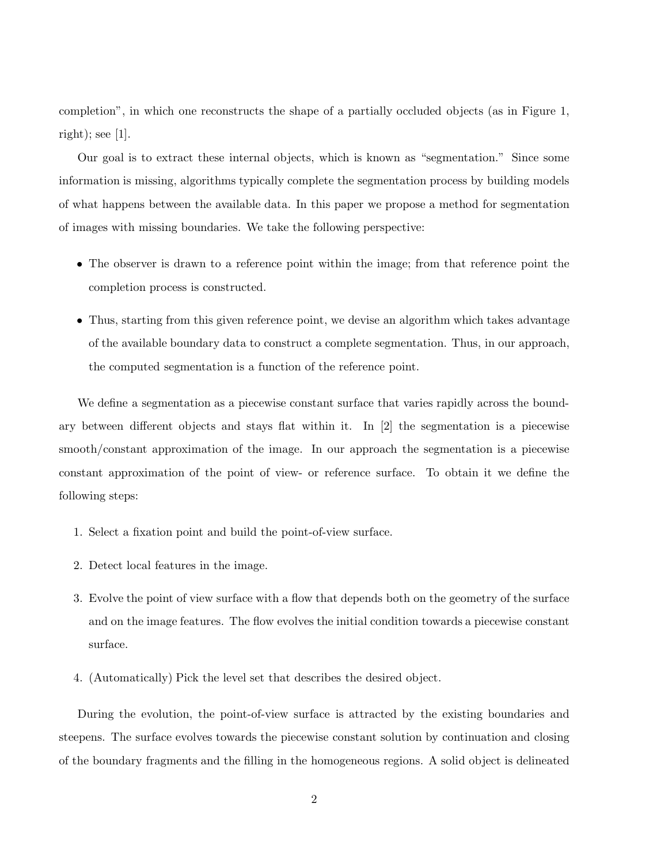completion", in which one reconstructs the shape of a partially occluded objects (as in Figure 1, right); see  $[1]$ .

Our goal is to extract these internal objects, which is known as "segmentation." Since some information is missing, algorithms typically complete the segmentation process by building models of what happens between the available data. In this paper we propose a method for segmentation of images with missing boundaries. We take the following perspective:

- The observer is drawn to a reference point within the image; from that reference point the completion process is constructed.
- Thus, starting from this given reference point, we devise an algorithm which takes advantage of the available boundary data to construct a complete segmentation. Thus, in our approach, the computed segmentation is a function of the reference point.

We define a segmentation as a piecewise constant surface that varies rapidly across the boundary between different objects and stays flat within it. In [2] the segmentation is a piecewise smooth/constant approximation of the image. In our approach the segmentation is a piecewise constant approximation of the point of view- or reference surface. To obtain it we define the following steps:

- 1. Select a fixation point and build the point-of-view surface.
- 2. Detect local features in the image.
- 3. Evolve the point of view surface with a flow that depends both on the geometry of the surface and on the image features. The flow evolves the initial condition towards a piecewise constant surface.
- 4. (Automatically) Pick the level set that describes the desired object.

During the evolution, the point-of-view surface is attracted by the existing boundaries and steepens. The surface evolves towards the piecewise constant solution by continuation and closing of the boundary fragments and the filling in the homogeneous regions. A solid object is delineated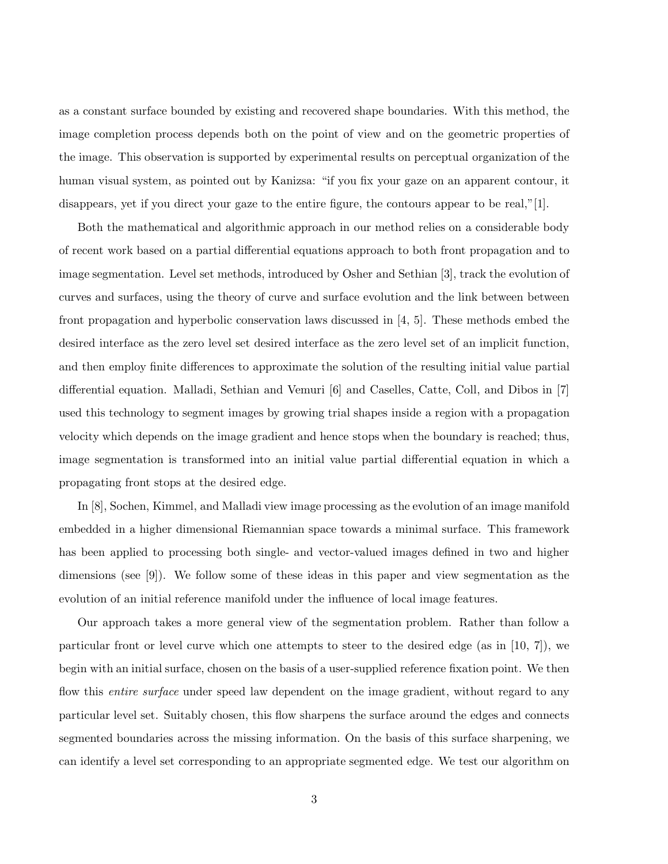as a constant surface bounded by existing and recovered shape boundaries. With this method, the image completion process depends both on the point of view and on the geometric properties of the image. This observation is supported by experimental results on perceptual organization of the human visual system, as pointed out by Kanizsa: "if you fix your gaze on an apparent contour, it disappears, yet if you direct your gaze to the entire figure, the contours appear to be real,"[1].

Both the mathematical and algorithmic approach in our method relies on a considerable body of recent work based on a partial differential equations approach to both front propagation and to image segmentation. Level set methods, introduced by Osher and Sethian [3], track the evolution of curves and surfaces, using the theory of curve and surface evolution and the link between between front propagation and hyperbolic conservation laws discussed in [4, 5]. These methods embed the desired interface as the zero level set desired interface as the zero level set of an implicit function, and then employ finite differences to approximate the solution of the resulting initial value partial differential equation. Malladi, Sethian and Vemuri [6] and Caselles, Catte, Coll, and Dibos in [7] used this technology to segment images by growing trial shapes inside a region with a propagation velocity which depends on the image gradient and hence stops when the boundary is reached; thus, image segmentation is transformed into an initial value partial differential equation in which a propagating front stops at the desired edge.

In [8], Sochen, Kimmel, and Malladi view image processing as the evolution of an image manifold embedded in a higher dimensional Riemannian space towards a minimal surface. This framework has been applied to processing both single- and vector-valued images defined in two and higher dimensions (see [9]). We follow some of these ideas in this paper and view segmentation as the evolution of an initial reference manifold under the influence of local image features.

Our approach takes a more general view of the segmentation problem. Rather than follow a particular front or level curve which one attempts to steer to the desired edge (as in [10, 7]), we begin with an initial surface, chosen on the basis of a user-supplied reference fixation point. We then flow this *entire surface* under speed law dependent on the image gradient, without regard to any particular level set. Suitably chosen, this flow sharpens the surface around the edges and connects segmented boundaries across the missing information. On the basis of this surface sharpening, we can identify a level set corresponding to an appropriate segmented edge. We test our algorithm on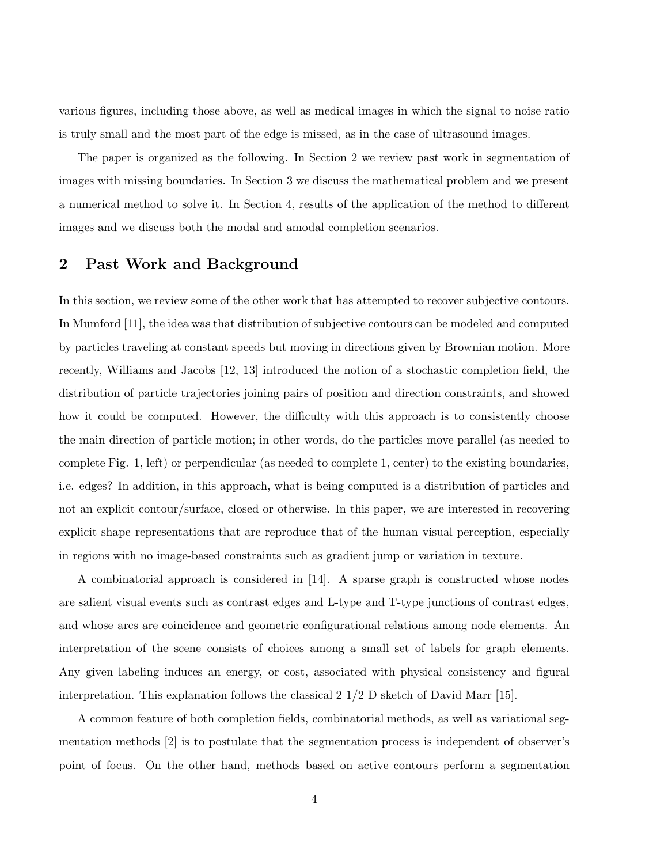various figures, including those above, as well as medical images in which the signal to noise ratio is truly small and the most part of the edge is missed, as in the case of ultrasound images.

The paper is organized as the following. In Section 2 we review past work in segmentation of images with missing boundaries. In Section 3 we discuss the mathematical problem and we present a numerical method to solve it. In Section 4, results of the application of the method to different images and we discuss both the modal and amodal completion scenarios.

## 2 Past Work and Background

In this section, we review some of the other work that has attempted to recover subjective contours. In Mumford [11], the idea was that distribution of subjective contours can be modeled and computed by particles traveling at constant speeds but moving in directions given by Brownian motion. More recently, Williams and Jacobs [12, 13] introduced the notion of a stochastic completion field, the distribution of particle trajectories joining pairs of position and direction constraints, and showed how it could be computed. However, the difficulty with this approach is to consistently choose the main direction of particle motion; in other words, do the particles move parallel (as needed to complete Fig. 1, left) or perpendicular (as needed to complete 1, center) to the existing boundaries, i.e. edges? In addition, in this approach, what is being computed is a distribution of particles and not an explicit contour/surface, closed or otherwise. In this paper, we are interested in recovering explicit shape representations that are reproduce that of the human visual perception, especially in regions with no image-based constraints such as gradient jump or variation in texture.

A combinatorial approach is considered in [14]. A sparse graph is constructed whose nodes are salient visual events such as contrast edges and L-type and T-type junctions of contrast edges, and whose arcs are coincidence and geometric configurational relations among node elements. An interpretation of the scene consists of choices among a small set of labels for graph elements. Any given labeling induces an energy, or cost, associated with physical consistency and figural interpretation. This explanation follows the classical  $2 \frac{1}{2}$  D sketch of David Marr [15].

A common feature of both completion fields, combinatorial methods, as well as variational segmentation methods [2] is to postulate that the segmentation process is independent of observer's point of focus. On the other hand, methods based on active contours perform a segmentation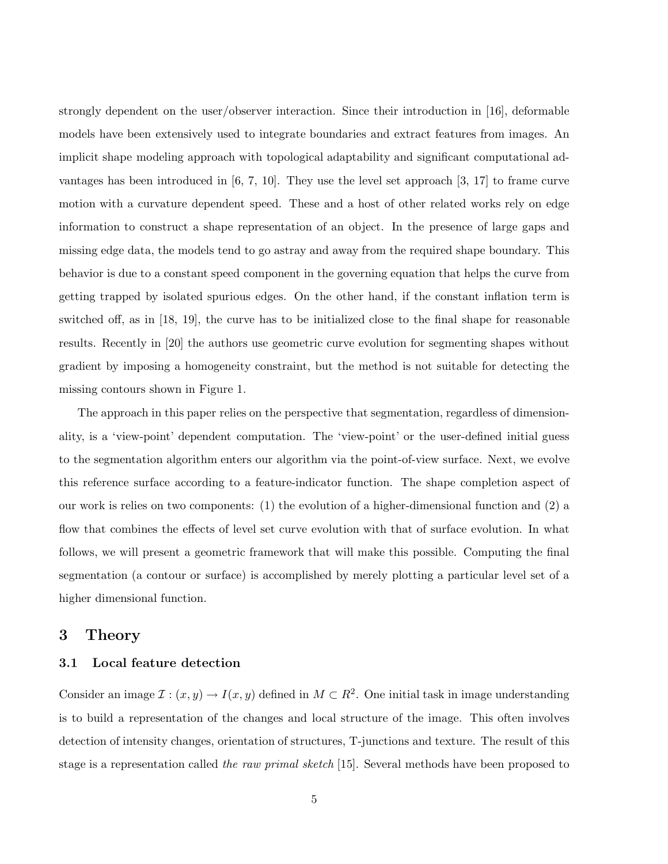strongly dependent on the user/observer interaction. Since their introduction in [16], deformable models have been extensively used to integrate boundaries and extract features from images. An implicit shape modeling approach with topological adaptability and significant computational advantages has been introduced in  $[6, 7, 10]$ . They use the level set approach  $[3, 17]$  to frame curve motion with a curvature dependent speed. These and a host of other related works rely on edge information to construct a shape representation of an object. In the presence of large gaps and missing edge data, the models tend to go astray and away from the required shape boundary. This behavior is due to a constant speed component in the governing equation that helps the curve from getting trapped by isolated spurious edges. On the other hand, if the constant inflation term is switched off, as in [18, 19], the curve has to be initialized close to the final shape for reasonable results. Recently in [20] the authors use geometric curve evolution for segmenting shapes without gradient by imposing a homogeneity constraint, but the method is not suitable for detecting the missing contours shown in Figure 1.

The approach in this paper relies on the perspective that segmentation, regardless of dimensionality, is a 'view-point' dependent computation. The 'view-point' or the user-defined initial guess to the segmentation algorithm enters our algorithm via the point-of-view surface. Next, we evolve this reference surface according to a feature-indicator function. The shape completion aspect of our work is relies on two components: (1) the evolution of a higher-dimensional function and (2) a flow that combines the effects of level set curve evolution with that of surface evolution. In what follows, we will present a geometric framework that will make this possible. Computing the final segmentation (a contour or surface) is accomplished by merely plotting a particular level set of a higher dimensional function.

### 3 Theory

### 3.1 Local feature detection

Consider an image  $\mathcal{I}: (x, y) \to I(x, y)$  defined in  $M \subset \mathbb{R}^2$ . One initial task in image understanding is to build a representation of the changes and local structure of the image. This often involves detection of intensity changes, orientation of structures, T-junctions and texture. The result of this stage is a representation called the raw primal sketch [15]. Several methods have been proposed to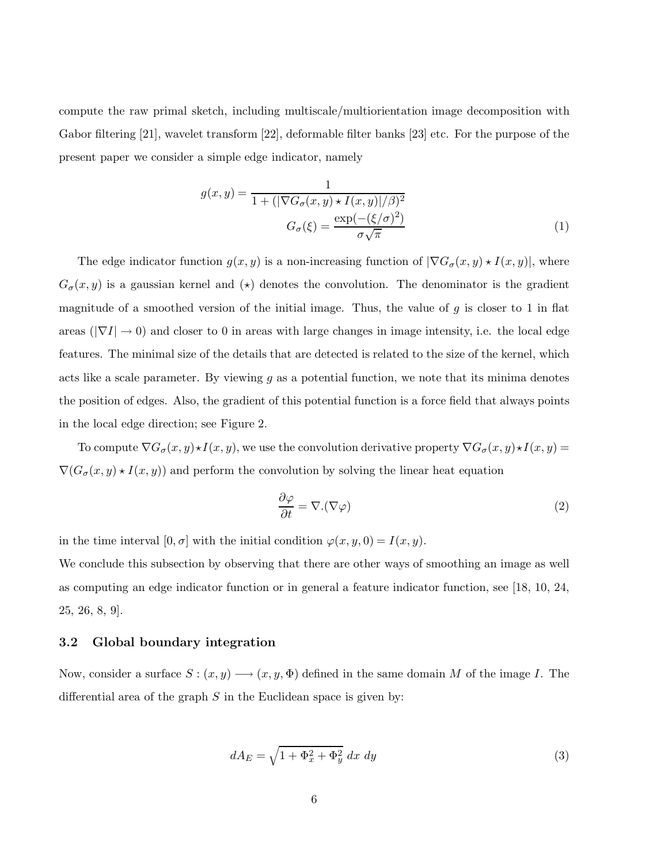compute the raw primal sketch, including multiscale/multiorientation image decomposition with Gabor filtering [21], wavelet transform [22], deformable filter banks [23] etc. For the purpose of the present paper we consider a simple edge indicator, namely

$$
g(x,y) = \frac{1}{1 + (|\nabla G_{\sigma}(x,y) \star I(x,y)|/\beta)^2}
$$

$$
G_{\sigma}(\xi) = \frac{\exp(-(\xi/\sigma)^2)}{\sigma\sqrt{\pi}}
$$
(1)

The edge indicator function  $g(x, y)$  is a non-increasing function of  $|\nabla G_{\sigma}(x, y) \star I(x, y)|$ , where  $G_{\sigma}(x, y)$  is a gaussian kernel and  $\star$  denotes the convolution. The denominator is the gradient magnitude of a smoothed version of the initial image. Thus, the value of  $g$  is closer to 1 in flat areas ( $|\nabla I| \rightarrow 0$ ) and closer to 0 in areas with large changes in image intensity, i.e. the local edge features. The minimal size of the details that are detected is related to the size of the kernel, which acts like a scale parameter. By viewing  $g$  as a potential function, we note that its minima denotes the position of edges. Also, the gradient of this potential function is a force field that always points in the local edge direction; see Figure 2.

To compute  $\nabla G_{\sigma}(x, y) \star I(x, y)$ , we use the convolution derivative property  $\nabla G_{\sigma}(x, y) \star I(x, y) =$  $\nabla(G_{\sigma}(x, y) \star I(x, y))$  and perform the convolution by solving the linear heat equation

$$
\frac{\partial \varphi}{\partial t} = \nabla \cdot (\nabla \varphi) \tag{2}
$$

in the time interval  $[0, \sigma]$  with the initial condition  $\varphi(x, y, 0) = I(x, y)$ .

We conclude this subsection by observing that there are other ways of smoothing an image as well as computing an edge indicator function or in general a feature indicator function, see [18, 10, 24, 25, 26, 8, 9].

### 3.2 Global boundary integration

Now, consider a surface  $S: (x, y) \longrightarrow (x, y, \Phi)$  defined in the same domain M of the image I. The differential area of the graph  $S$  in the Euclidean space is given by:

$$
dA_E = \sqrt{1 + \Phi_x^2 + \Phi_y^2} \, dx \, dy \tag{3}
$$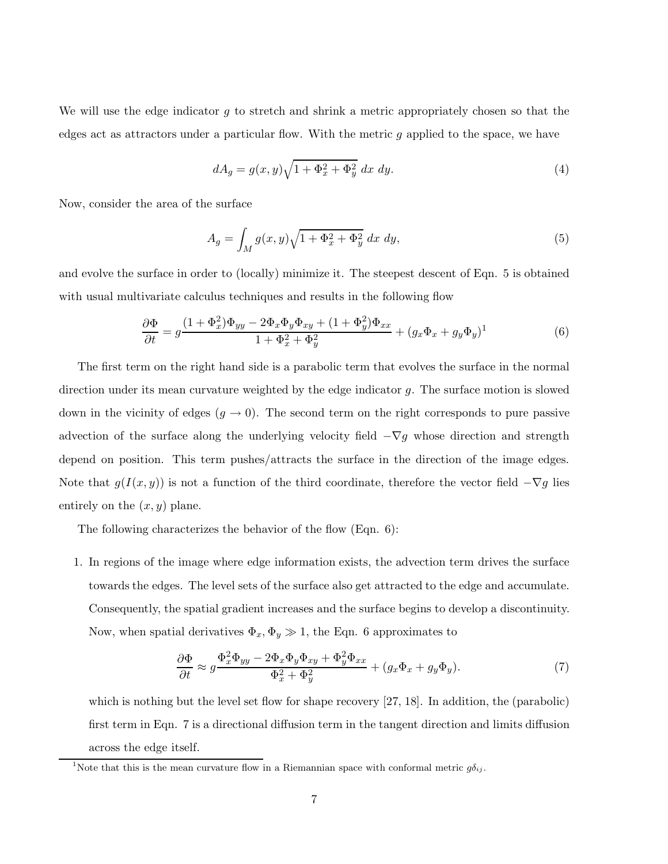We will use the edge indicator  $q$  to stretch and shrink a metric appropriately chosen so that the edges act as attractors under a particular flow. With the metric g applied to the space, we have

$$
dA_g = g(x, y)\sqrt{1 + \Phi_x^2 + \Phi_y^2} dx dy.
$$
\n<sup>(4)</sup>

Now, consider the area of the surface

$$
A_g = \int_M g(x, y)\sqrt{1 + \Phi_x^2 + \Phi_y^2} \, dx \, dy,\tag{5}
$$

and evolve the surface in order to (locally) minimize it. The steepest descent of Eqn. 5 is obtained with usual multivariate calculus techniques and results in the following flow

$$
\frac{\partial \Phi}{\partial t} = g \frac{(1 + \Phi_x^2)\Phi_{yy} - 2\Phi_x \Phi_y \Phi_{xy} + (1 + \Phi_y^2)\Phi_{xx}}{1 + \Phi_x^2 + \Phi_y^2} + (g_x \Phi_x + g_y \Phi_y)^1
$$
(6)

The first term on the right hand side is a parabolic term that evolves the surface in the normal direction under its mean curvature weighted by the edge indicator  $g$ . The surface motion is slowed down in the vicinity of edges  $(g \to 0)$ . The second term on the right corresponds to pure passive advection of the surface along the underlying velocity field  $-\nabla g$  whose direction and strength depend on position. This term pushes/attracts the surface in the direction of the image edges. Note that  $g(I(x, y))$  is not a function of the third coordinate, therefore the vector field  $-\nabla g$  lies entirely on the  $(x, y)$  plane.

The following characterizes the behavior of the flow (Eqn. 6):

1. In regions of the image where edge information exists, the advection term drives the surface towards the edges. The level sets of the surface also get attracted to the edge and accumulate. Consequently, the spatial gradient increases and the surface begins to develop a discontinuity. Now, when spatial derivatives  $\Phi_x, \Phi_y \gg 1$ , the Eqn. 6 approximates to

$$
\frac{\partial \Phi}{\partial t} \approx g \frac{\Phi_x^2 \Phi_{yy} - 2\Phi_x \Phi_y \Phi_{xy} + \Phi_y^2 \Phi_{xx}}{\Phi_x^2 + \Phi_y^2} + (g_x \Phi_x + g_y \Phi_y). \tag{7}
$$

which is nothing but the level set flow for shape recovery [27, 18]. In addition, the (parabolic) first term in Eqn. 7 is a directional diffusion term in the tangent direction and limits diffusion across the edge itself.

<sup>&</sup>lt;sup>1</sup>Note that this is the mean curvature flow in a Riemannian space with conformal metric  $g\delta_{ij}$ .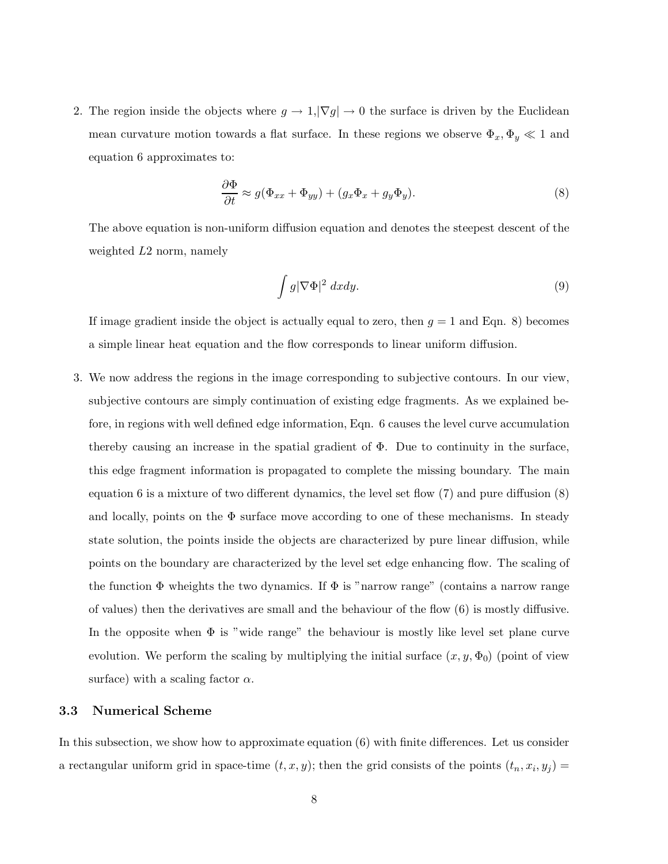2. The region inside the objects where  $g \to 1, |\nabla g| \to 0$  the surface is driven by the Euclidean mean curvature motion towards a flat surface. In these regions we observe  $\Phi_x, \Phi_y \ll 1$  and equation 6 approximates to:

$$
\frac{\partial \Phi}{\partial t} \approx g(\Phi_{xx} + \Phi_{yy}) + (g_x \Phi_x + g_y \Phi_y). \tag{8}
$$

The above equation is non-uniform diffusion equation and denotes the steepest descent of the weighted L2 norm, namely

$$
\int g |\nabla \Phi|^2 dx dy.
$$
 (9)

If image gradient inside the object is actually equal to zero, then  $g = 1$  and Eqn. 8) becomes a simple linear heat equation and the flow corresponds to linear uniform diffusion.

3. We now address the regions in the image corresponding to subjective contours. In our view, subjective contours are simply continuation of existing edge fragments. As we explained before, in regions with well defined edge information, Eqn. 6 causes the level curve accumulation thereby causing an increase in the spatial gradient of  $\Phi$ . Due to continuity in the surface, this edge fragment information is propagated to complete the missing boundary. The main equation 6 is a mixture of two different dynamics, the level set flow (7) and pure diffusion (8) and locally, points on the  $\Phi$  surface move according to one of these mechanisms. In steady state solution, the points inside the objects are characterized by pure linear diffusion, while points on the boundary are characterized by the level set edge enhancing flow. The scaling of the function  $\Phi$  wheights the two dynamics. If  $\Phi$  is "narrow range" (contains a narrow range of values) then the derivatives are small and the behaviour of the flow (6) is mostly diffusive. In the opposite when Φ is "wide range" the behaviour is mostly like level set plane curve evolution. We perform the scaling by multiplying the initial surface  $(x, y, \Phi_0)$  (point of view surface) with a scaling factor  $\alpha$ .

#### 3.3 Numerical Scheme

In this subsection, we show how to approximate equation (6) with finite differences. Let us consider a rectangular uniform grid in space-time  $(t, x, y)$ ; then the grid consists of the points  $(t_n, x_i, y_j) =$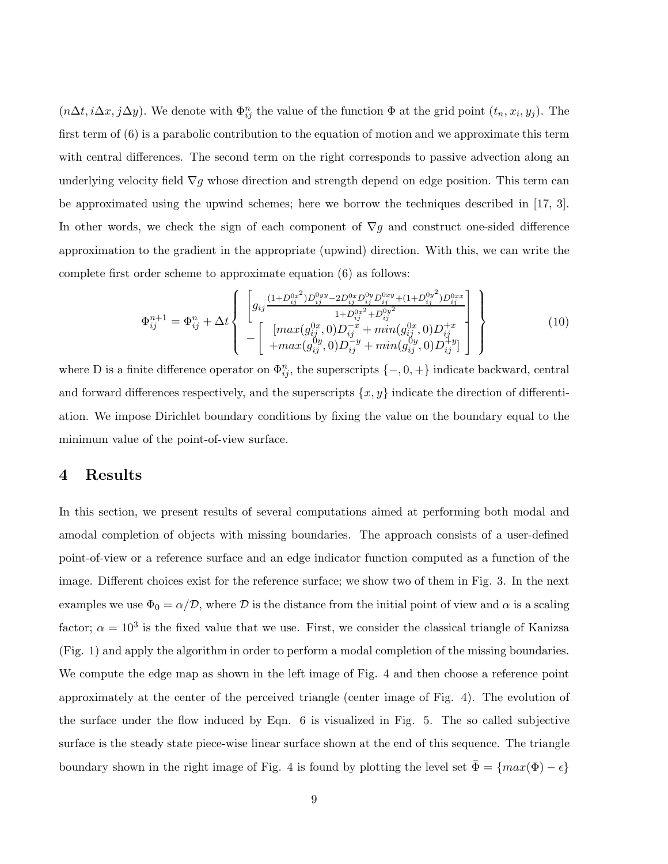$(n\Delta t, i\Delta x, j\Delta y)$ . We denote with  $\Phi_{ij}^n$  the value of the function  $\Phi$  at the grid point  $(t_n, x_i, y_j)$ . The first term of (6) is a parabolic contribution to the equation of motion and we approximate this term with central differences. The second term on the right corresponds to passive advection along an underlying velocity field  $\nabla g$  whose direction and strength depend on edge position. This term can be approximated using the upwind schemes; here we borrow the techniques described in [17, 3]. In other words, we check the sign of each component of  $\nabla g$  and construct one-sided difference approximation to the gradient in the appropriate (upwind) direction. With this, we can write the complete first order scheme to approximate equation (6) as follows:

$$
\Phi_{ij}^{n+1} = \Phi_{ij}^{n} + \Delta t \left\{ \begin{bmatrix} g_{ij} \frac{(1+D_{ij}^{0x^2})D_{ij}^{0yy} - 2D_{ij}^{0x}D_{ij}^{0xy}D_{ij}^{0xy} + (1+D_{ij}^{0y^2})D_{ij}^{0xx}}{1+D_{ij}^{0x^2} + D_{ij}^{0y^2}} \\ - \begin{bmatrix} [max(g_{ij}^{0x}, 0)D_{ij}^{-x} + min(g_{ij}^{0x}, 0)D_{ij}^{+x} \\ + max(g_{ij}^{0y}, 0)D_{ij}^{-y} + min(g_{ij}^{0y}, 0)D_{ij}^{+y} \end{bmatrix} \right\}
$$
(10)

where D is a finite difference operator on  $\Phi_{ij}^n$ , the superscripts  $\{-,0,+\}$  indicate backward, central and forward differences respectively, and the superscripts  $\{x, y\}$  indicate the direction of differentiation. We impose Dirichlet boundary conditions by fixing the value on the boundary equal to the minimum value of the point-of-view surface.

## 4 Results

In this section, we present results of several computations aimed at performing both modal and amodal completion of objects with missing boundaries. The approach consists of a user-defined point-of-view or a reference surface and an edge indicator function computed as a function of the image. Different choices exist for the reference surface; we show two of them in Fig. 3. In the next examples we use  $\Phi_0 = \alpha/\mathcal{D}$ , where  $\mathcal D$  is the distance from the initial point of view and  $\alpha$  is a scaling factor;  $\alpha = 10^3$  is the fixed value that we use. First, we consider the classical triangle of Kanizsa (Fig. 1) and apply the algorithm in order to perform a modal completion of the missing boundaries. We compute the edge map as shown in the left image of Fig. 4 and then choose a reference point approximately at the center of the perceived triangle (center image of Fig. 4). The evolution of the surface under the flow induced by Eqn. 6 is visualized in Fig. 5. The so called subjective surface is the steady state piece-wise linear surface shown at the end of this sequence. The triangle boundary shown in the right image of Fig. 4 is found by plotting the level set  $\Phi = \{max(\Phi) - \epsilon\}$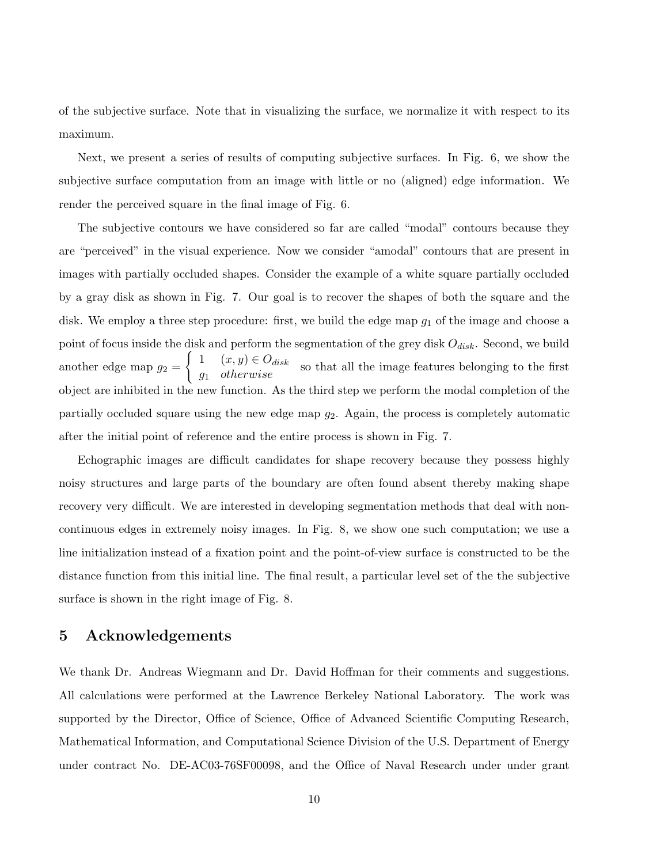of the subjective surface. Note that in visualizing the surface, we normalize it with respect to its maximum.

Next, we present a series of results of computing subjective surfaces. In Fig. 6, we show the subjective surface computation from an image with little or no (aligned) edge information. We render the perceived square in the final image of Fig. 6.

The subjective contours we have considered so far are called "modal" contours because they are "perceived" in the visual experience. Now we consider "amodal" contours that are present in images with partially occluded shapes. Consider the example of a white square partially occluded by a gray disk as shown in Fig. 7. Our goal is to recover the shapes of both the square and the disk. We employ a three step procedure: first, we build the edge map  $g_1$  of the image and choose a point of focus inside the disk and perform the segmentation of the grey disk  $O_{disk}$ . Second, we build another edge map  $g_2 =$  $\begin{cases} 1 & (x, y) \in O_{disk} \\ g_1 & otherwise \end{cases}$  so that all the image features belonging to the first object are inhibited in the new function. As the third step we perform the modal completion of the partially occluded square using the new edge map  $g_2$ . Again, the process is completely automatic after the initial point of reference and the entire process is shown in Fig. 7.

Echographic images are difficult candidates for shape recovery because they possess highly noisy structures and large parts of the boundary are often found absent thereby making shape recovery very difficult. We are interested in developing segmentation methods that deal with noncontinuous edges in extremely noisy images. In Fig. 8, we show one such computation; we use a line initialization instead of a fixation point and the point-of-view surface is constructed to be the distance function from this initial line. The final result, a particular level set of the the subjective surface is shown in the right image of Fig. 8.

## 5 Acknowledgements

We thank Dr. Andreas Wiegmann and Dr. David Hoffman for their comments and suggestions. All calculations were performed at the Lawrence Berkeley National Laboratory. The work was supported by the Director, Office of Science, Office of Advanced Scientific Computing Research, Mathematical Information, and Computational Science Division of the U.S. Department of Energy under contract No. DE-AC03-76SF00098, and the Office of Naval Research under under grant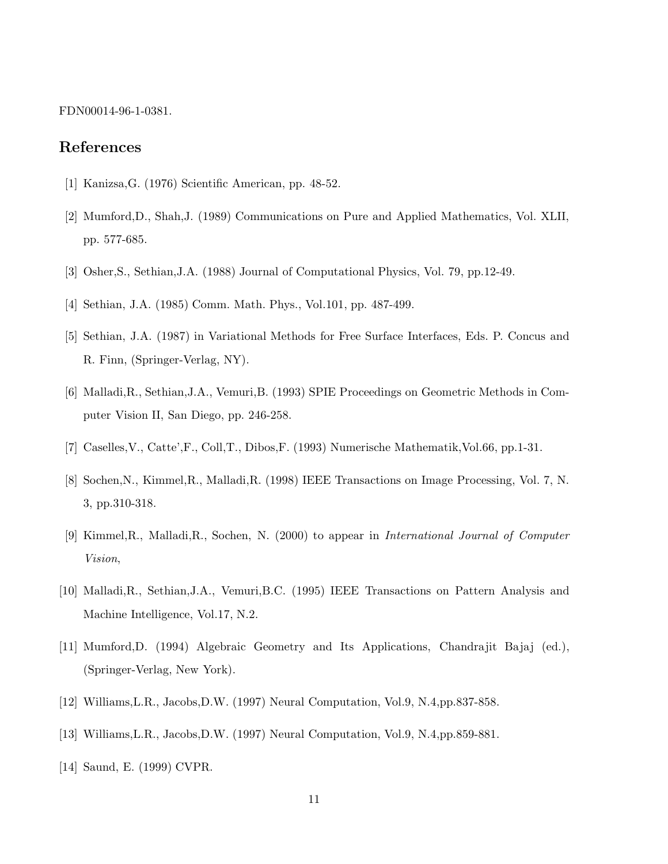FDN00014-96-1-0381.

### References

- [1] Kanizsa,G. (1976) Scientific American, pp. 48-52.
- [2] Mumford,D., Shah,J. (1989) Communications on Pure and Applied Mathematics, Vol. XLII, pp. 577-685.
- [3] Osher,S., Sethian,J.A. (1988) Journal of Computational Physics, Vol. 79, pp.12-49.
- [4] Sethian, J.A. (1985) Comm. Math. Phys., Vol.101, pp. 487-499.
- [5] Sethian, J.A. (1987) in Variational Methods for Free Surface Interfaces, Eds. P. Concus and R. Finn, (Springer-Verlag, NY).
- [6] Malladi,R., Sethian,J.A., Vemuri,B. (1993) SPIE Proceedings on Geometric Methods in Computer Vision II, San Diego, pp. 246-258.
- [7] Caselles,V., Catte',F., Coll,T., Dibos,F. (1993) Numerische Mathematik,Vol.66, pp.1-31.
- [8] Sochen,N., Kimmel,R., Malladi,R. (1998) IEEE Transactions on Image Processing, Vol. 7, N. 3, pp.310-318.
- [9] Kimmel,R., Malladi,R., Sochen, N. (2000) to appear in International Journal of Computer Vision,
- [10] Malladi,R., Sethian,J.A., Vemuri,B.C. (1995) IEEE Transactions on Pattern Analysis and Machine Intelligence, Vol.17, N.2.
- [11] Mumford,D. (1994) Algebraic Geometry and Its Applications, Chandrajit Bajaj (ed.), (Springer-Verlag, New York).
- [12] Williams,L.R., Jacobs,D.W. (1997) Neural Computation, Vol.9, N.4,pp.837-858.
- [13] Williams,L.R., Jacobs,D.W. (1997) Neural Computation, Vol.9, N.4,pp.859-881.
- [14] Saund, E. (1999) CVPR.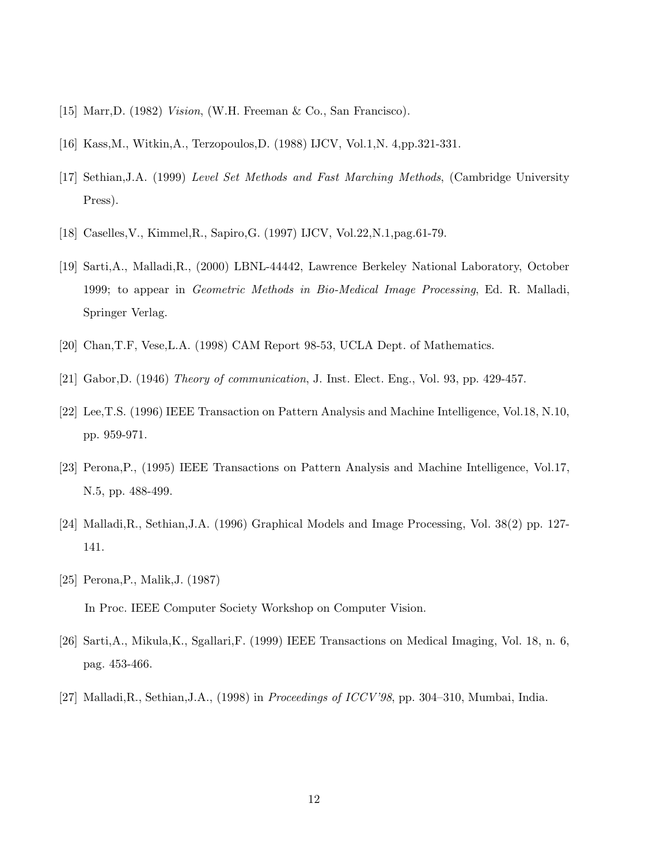- [15] Marr,D. (1982) Vision, (W.H. Freeman & Co., San Francisco).
- [16] Kass,M., Witkin,A., Terzopoulos,D. (1988) IJCV, Vol.1,N. 4,pp.321-331.
- [17] Sethian,J.A. (1999) Level Set Methods and Fast Marching Methods, (Cambridge University Press).
- [18] Caselles,V., Kimmel,R., Sapiro,G. (1997) IJCV, Vol.22,N.1,pag.61-79.
- [19] Sarti,A., Malladi,R., (2000) LBNL-44442, Lawrence Berkeley National Laboratory, October 1999; to appear in Geometric Methods in Bio-Medical Image Processing, Ed. R. Malladi, Springer Verlag.
- [20] Chan,T.F, Vese,L.A. (1998) CAM Report 98-53, UCLA Dept. of Mathematics.
- [21] Gabor,D. (1946) Theory of communication, J. Inst. Elect. Eng., Vol. 93, pp. 429-457.
- [22] Lee,T.S. (1996) IEEE Transaction on Pattern Analysis and Machine Intelligence, Vol.18, N.10, pp. 959-971.
- [23] Perona,P., (1995) IEEE Transactions on Pattern Analysis and Machine Intelligence, Vol.17, N.5, pp. 488-499.
- [24] Malladi,R., Sethian,J.A. (1996) Graphical Models and Image Processing, Vol. 38(2) pp. 127- 141.
- [25] Perona,P., Malik,J. (1987) In Proc. IEEE Computer Society Workshop on Computer Vision.
- [26] Sarti,A., Mikula,K., Sgallari,F. (1999) IEEE Transactions on Medical Imaging, Vol. 18, n. 6, pag. 453-466.
- [27] Malladi,R., Sethian,J.A., (1998) in Proceedings of ICCV'98, pp. 304–310, Mumbai, India.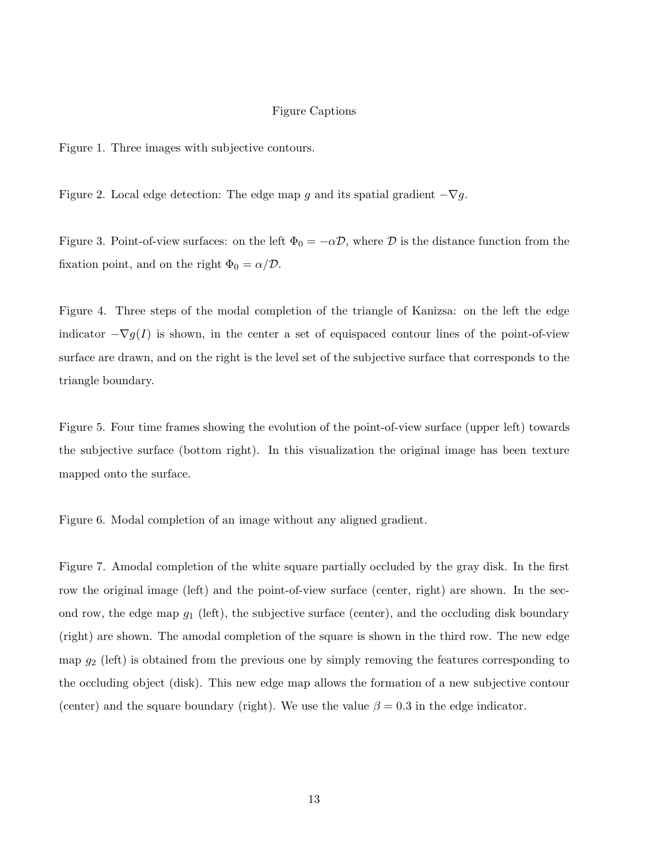#### Figure Captions

Figure 1. Three images with subjective contours.

Figure 2. Local edge detection: The edge map g and its spatial gradient  $-\nabla g$ .

Figure 3. Point-of-view surfaces: on the left  $\Phi_0 = -\alpha \mathcal{D}$ , where  $\mathcal D$  is the distance function from the fixation point, and on the right  $\Phi_0 = \alpha/\mathcal{D}$ .

Figure 4. Three steps of the modal completion of the triangle of Kanizsa: on the left the edge indicator  $-\nabla g(I)$  is shown, in the center a set of equispaced contour lines of the point-of-view surface are drawn, and on the right is the level set of the subjective surface that corresponds to the triangle boundary.

Figure 5. Four time frames showing the evolution of the point-of-view surface (upper left) towards the subjective surface (bottom right). In this visualization the original image has been texture mapped onto the surface.

Figure 6. Modal completion of an image without any aligned gradient.

Figure 7. Amodal completion of the white square partially occluded by the gray disk. In the first row the original image (left) and the point-of-view surface (center, right) are shown. In the second row, the edge map  $g_1$  (left), the subjective surface (center), and the occluding disk boundary (right) are shown. The amodal completion of the square is shown in the third row. The new edge map  $g_2$  (left) is obtained from the previous one by simply removing the features corresponding to the occluding object (disk). This new edge map allows the formation of a new subjective contour (center) and the square boundary (right). We use the value  $\beta = 0.3$  in the edge indicator.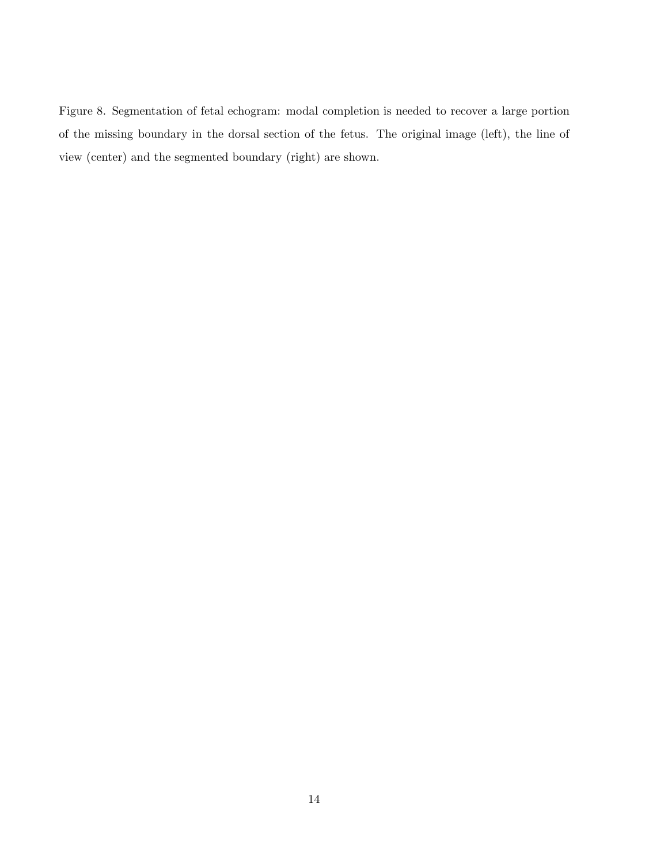Figure 8. Segmentation of fetal echogram: modal completion is needed to recover a large portion of the missing boundary in the dorsal section of the fetus. The original image (left), the line of view (center) and the segmented boundary (right) are shown.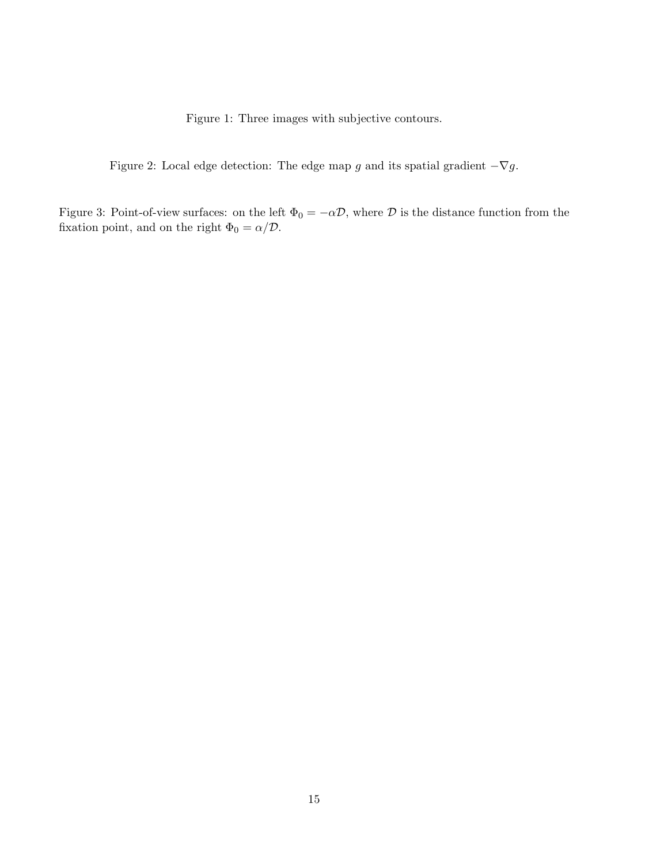Figure 1: Three images with subjective contours.

Figure 2: Local edge detection: The edge map g and its spatial gradient  $-\nabla g$ .

Figure 3: Point-of-view surfaces: on the left  $\Phi_0 = -\alpha \mathcal{D}$ , where  $\mathcal D$  is the distance function from the fixation point, and on the right  $\Phi_0 = \alpha/\mathcal{D}.$